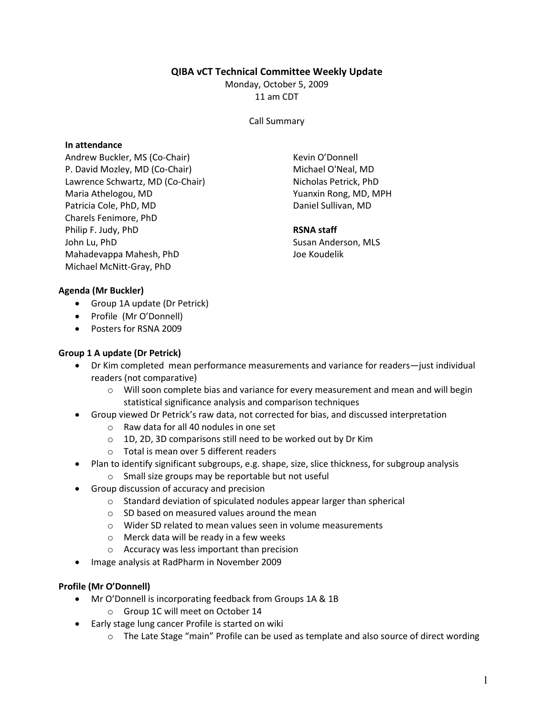# QIBA vCT Technical Committee Weekly Update

Monday, October 5, 2009 11 am CDT

Call Summary

### In attendance

Andrew Buckler, MS (Co-Chair) P. David Mozley, MD (Co-Chair) Lawrence Schwartz, MD (Co-Chair) Maria Athelogou, MD Patricia Cole, PhD, MD Charels Fenimore, PhD Philip F. Judy, PhD John Lu, PhD Mahadevappa Mahesh, PhD Michael McNitt-Gray, PhD

Kevin O'Donnell Michael O'Neal, MD Nicholas Petrick, PhD Yuanxin Rong, MD, MPH Daniel Sullivan, MD

#### RSNA staff

Susan Anderson, MLS Joe Koudelik

### Agenda (Mr Buckler)

- Group 1A update (Dr Petrick)
- Profile (Mr O'Donnell)
- Posters for RSNA 2009

### Group 1 A update (Dr Petrick)

- Dr Kim completed mean performance measurements and variance for readers—just individual readers (not comparative)
	- $\circ$  Will soon complete bias and variance for every measurement and mean and will begin statistical significance analysis and comparison techniques
	- Group viewed Dr Petrick's raw data, not corrected for bias, and discussed interpretation
		- o Raw data for all 40 nodules in one set
		- o 1D, 2D, 3D comparisons still need to be worked out by Dr Kim
		- o Total is mean over 5 different readers
- Plan to identify significant subgroups, e.g. shape, size, slice thickness, for subgroup analysis
	- o Small size groups may be reportable but not useful
- Group discussion of accuracy and precision
	- o Standard deviation of spiculated nodules appear larger than spherical
	- $\circ$  SD based on measured values around the mean
	- o Wider SD related to mean values seen in volume measurements
	- o Merck data will be ready in a few weeks
	- o Accuracy was less important than precision
- Image analysis at RadPharm in November 2009

# Profile (Mr O'Donnell)

- Mr O'Donnell is incorporating feedback from Groups 1A & 1B
	- o Group 1C will meet on October 14
- Early stage lung cancer Profile is started on wiki
	- o The Late Stage "main" Profile can be used as template and also source of direct wording